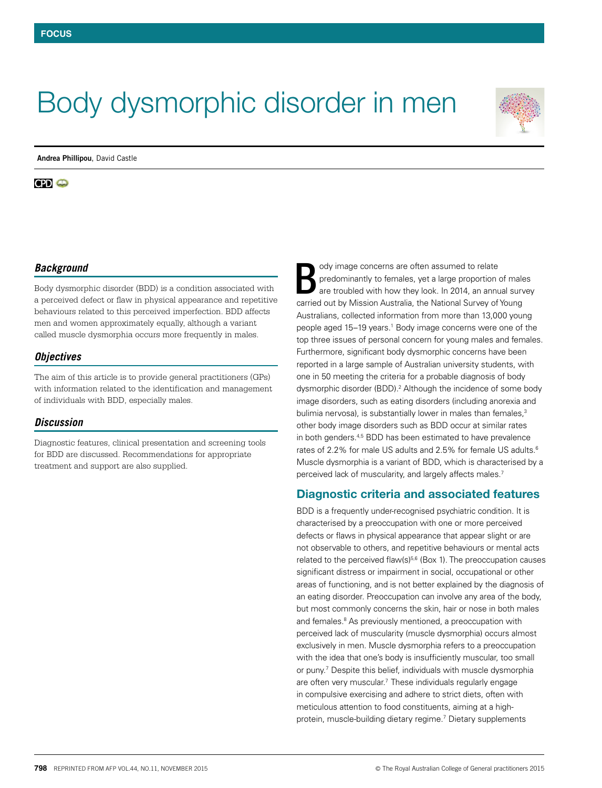# Body dysmorphic disorder in men

**Andrea Phillipou**, David Castle

**CPI**  $\bullet$ 



# *Background*

Body dysmorphic disorder (BDD) is a condition associated with a perceived defect or flaw in physical appearance and repetitive behaviours related to this perceived imperfection. BDD affects men and women approximately equally, although a variant called muscle dysmorphia occurs more frequently in males.

## *Objectives*

The aim of this article is to provide general practitioners (GPs) with information related to the identification and management of individuals with BDD, especially males.

## *Discussion*

Diagnostic features, clinical presentation and screening tools for BDD are discussed. Recommendations for appropriate treatment and support are also supplied.

ody image concerns are often assumed to relate predominantly to females, yet a large proportion of males are troubled with how they look. In 2014, an annual survey carried out by Mission Australia, the National Survey of Young Australians, collected information from more than 13,000 young people aged 15–19 years.<sup>1</sup> Body image concerns were one of the top three issues of personal concern for young males and females. Furthermore, significant body dysmorphic concerns have been reported in a large sample of Australian university students, with one in 50 meeting the criteria for a probable diagnosis of body dysmorphic disorder (BDD).<sup>2</sup> Although the incidence of some body image disorders, such as eating disorders (including anorexia and bulimia nervosa), is substantially lower in males than females,<sup>3</sup> other body image disorders such as BDD occur at similar rates in both genders.<sup>4,5</sup> BDD has been estimated to have prevalence rates of 2.2% for male US adults and 2.5% for female US adults.<sup>6</sup> Muscle dysmorphia is a variant of BDD, which is characterised by a perceived lack of muscularity, and largely affects males.7 B

## Diagnostic criteria and associated features

BDD is a frequently under-recognised psychiatric condition. It is characterised by a preoccupation with one or more perceived defects or flaws in physical appearance that appear slight or are not observable to others, and repetitive behaviours or mental acts related to the perceived flaw( $s$ )<sup> $5,6$ </sup> (Box 1). The preoccupation causes significant distress or impairment in social, occupational or other areas of functioning, and is not better explained by the diagnosis of an eating disorder. Preoccupation can involve any area of the body, but most commonly concerns the skin, hair or nose in both males and females.<sup>8</sup> As previously mentioned, a preoccupation with perceived lack of muscularity (muscle dysmorphia) occurs almost exclusively in men. Muscle dysmorphia refers to a preoccupation with the idea that one's body is insufficiently muscular, too small or puny.<sup>7</sup> Despite this belief, individuals with muscle dysmorphia are often very muscular.<sup>7</sup> These individuals regularly engage in compulsive exercising and adhere to strict diets, often with meticulous attention to food constituents, aiming at a highprotein, muscle-building dietary regime.7 Dietary supplements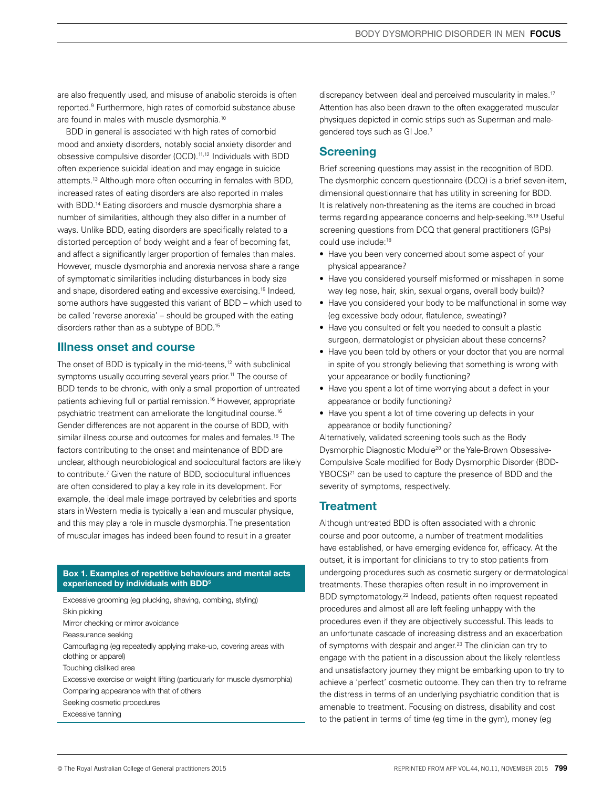are also frequently used, and misuse of anabolic steroids is often reported.9 Furthermore, high rates of comorbid substance abuse are found in males with muscle dysmorphia.<sup>10</sup>

BDD in general is associated with high rates of comorbid mood and anxiety disorders, notably social anxiety disorder and obsessive compulsive disorder (OCD).11,12 Individuals with BDD often experience suicidal ideation and may engage in suicide attempts.13 Although more often occurring in females with BDD, increased rates of eating disorders are also reported in males with BDD.<sup>14</sup> Eating disorders and muscle dysmorphia share a number of similarities, although they also differ in a number of ways. Unlike BDD, eating disorders are specifically related to a distorted perception of body weight and a fear of becoming fat, and affect a significantly larger proportion of females than males. However, muscle dysmorphia and anorexia nervosa share a range of symptomatic similarities including disturbances in body size and shape, disordered eating and excessive exercising.15 Indeed, some authors have suggested this variant of BDD – which used to be called 'reverse anorexia' – should be grouped with the eating disorders rather than as a subtype of BDD.<sup>15</sup>

# Illness onset and course

The onset of BDD is typically in the mid-teens,<sup>12</sup> with subclinical symptoms usually occurring several years prior.<sup>11</sup> The course of BDD tends to be chronic, with only a small proportion of untreated patients achieving full or partial remission.16 However, appropriate psychiatric treatment can ameliorate the longitudinal course.16 Gender differences are not apparent in the course of BDD, with similar illness course and outcomes for males and females.<sup>16</sup> The factors contributing to the onset and maintenance of BDD are unclear, although neurobiological and sociocultural factors are likely to contribute.7 Given the nature of BDD, sociocultural influences are often considered to play a key role in its development. For example, the ideal male image portrayed by celebrities and sports stars in Western media is typically a lean and muscular physique, and this may play a role in muscle dysmorphia. The presentation of muscular images has indeed been found to result in a greater

#### Box 1. Examples of repetitive behaviours and mental acts experienced by individuals with BDD<sup>5</sup>

Excessive grooming (eg plucking, shaving, combing, styling) Skin picking Mirror checking or mirror avoidance Reassurance seeking Camouflaging (eg repeatedly applying make-up, covering areas with clothing or apparel) Touching disliked area Excessive exercise or weight lifting (particularly for muscle dysmorphia) Comparing appearance with that of others Seeking cosmetic procedures Excessive tanning

discrepancy between ideal and perceived muscularity in males.<sup>17</sup> Attention has also been drawn to the often exaggerated muscular physiques depicted in comic strips such as Superman and malegendered toys such as GI Joe.7

# **Screening**

Brief screening questions may assist in the recognition of BDD. The dysmorphic concern questionnaire (DCQ) is a brief seven-item, dimensional questionnaire that has utility in screening for BDD. It is relatively non-threatening as the items are couched in broad terms regarding appearance concerns and help-seeking.18,19 Useful screening questions from DCQ that general practitioners (GPs) could use include:18

- Have you been very concerned about some aspect of your physical appearance?
- Have you considered yourself misformed or misshapen in some way (eg nose, hair, skin, sexual organs, overall body build)?
- Have you considered your body to be malfunctional in some way (eg excessive body odour, flatulence, sweating)?
- Have you consulted or felt you needed to consult a plastic surgeon, dermatologist or physician about these concerns?
- Have you been told by others or your doctor that you are normal in spite of you strongly believing that something is wrong with your appearance or bodily functioning?
- Have you spent a lot of time worrying about a defect in your appearance or bodily functioning?
- Have you spent a lot of time covering up defects in your appearance or bodily functioning?

Alternatively, validated screening tools such as the Body Dysmorphic Diagnostic Module<sup>20</sup> or the Yale-Brown Obsessive-Compulsive Scale modified for Body Dysmorphic Disorder (BDD-YBOCS)<sup>21</sup> can be used to capture the presence of BDD and the severity of symptoms, respectively.

# **Treatment**

Although untreated BDD is often associated with a chronic course and poor outcome, a number of treatment modalities have established, or have emerging evidence for, efficacy. At the outset, it is important for clinicians to try to stop patients from undergoing procedures such as cosmetic surgery or dermatological treatments. These therapies often result in no improvement in BDD symptomatology.22 Indeed, patients often request repeated procedures and almost all are left feeling unhappy with the procedures even if they are objectively successful. This leads to an unfortunate cascade of increasing distress and an exacerbation of symptoms with despair and anger.<sup>23</sup> The clinician can try to engage with the patient in a discussion about the likely relentless and unsatisfactory journey they might be embarking upon to try to achieve a 'perfect' cosmetic outcome. They can then try to reframe the distress in terms of an underlying psychiatric condition that is amenable to treatment. Focusing on distress, disability and cost to the patient in terms of time (eg time in the gym), money (eg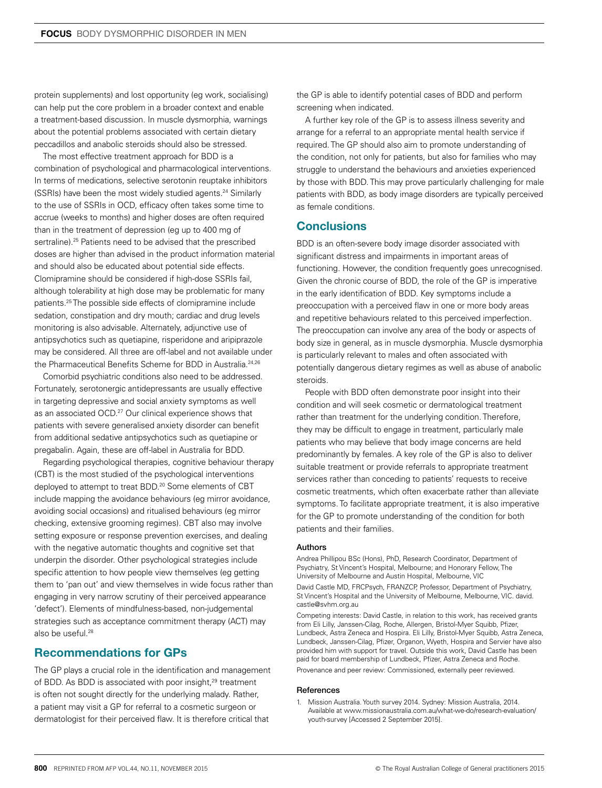protein supplements) and lost opportunity (eg work, socialising) can help put the core problem in a broader context and enable a treatment-based discussion. In muscle dysmorphia, warnings about the potential problems associated with certain dietary peccadillos and anabolic steroids should also be stressed.

The most effective treatment approach for BDD is a combination of psychological and pharmacological interventions. In terms of medications, selective serotonin reuptake inhibitors (SSRIs) have been the most widely studied agents.24 Similarly to the use of SSRIs in OCD, efficacy often takes some time to accrue (weeks to months) and higher doses are often required than in the treatment of depression (eg up to 400 mg of sertraline).<sup>25</sup> Patients need to be advised that the prescribed doses are higher than advised in the product information material and should also be educated about potential side effects. Clomipramine should be considered if high-dose SSRIs fail, although tolerability at high dose may be problematic for many patients.25 The possible side effects of clomipramine include sedation, constipation and dry mouth; cardiac and drug levels monitoring is also advisable. Alternately, adjunctive use of antipsychotics such as quetiapine, risperidone and aripiprazole may be considered. All three are off-label and not available under the Pharmaceutical Benefits Scheme for BDD in Australia.<sup>24,26</sup>

Comorbid psychiatric conditions also need to be addressed. Fortunately, serotonergic antidepressants are usually effective in targeting depressive and social anxiety symptoms as well as an associated OCD.<sup>27</sup> Our clinical experience shows that patients with severe generalised anxiety disorder can benefit from additional sedative antipsychotics such as quetiapine or pregabalin. Again, these are off-label in Australia for BDD.

Regarding psychological therapies, cognitive behaviour therapy (CBT) is the most studied of the psychological interventions deployed to attempt to treat BDD.<sup>20</sup> Some elements of CBT include mapping the avoidance behaviours (eg mirror avoidance, avoiding social occasions) and ritualised behaviours (eg mirror checking, extensive grooming regimes). CBT also may involve setting exposure or response prevention exercises, and dealing with the negative automatic thoughts and cognitive set that underpin the disorder. Other psychological strategies include specific attention to how people view themselves (eg getting them to 'pan out' and view themselves in wide focus rather than engaging in very narrow scrutiny of their perceived appearance 'defect'). Elements of mindfulness-based, non-judgemental strategies such as acceptance commitment therapy (ACT) may also be useful.<sup>28</sup>

# Recommendations for GPs

The GP plays a crucial role in the identification and management of BDD. As BDD is associated with poor insight,<sup>29</sup> treatment is often not sought directly for the underlying malady. Rather, a patient may visit a GP for referral to a cosmetic surgeon or dermatologist for their perceived flaw. It is therefore critical that

the GP is able to identify potential cases of BDD and perform screening when indicated.

A further key role of the GP is to assess illness severity and arrange for a referral to an appropriate mental health service if required. The GP should also aim to promote understanding of the condition, not only for patients, but also for families who may struggle to understand the behaviours and anxieties experienced by those with BDD. This may prove particularly challenging for male patients with BDD, as body image disorders are typically perceived as female conditions.

# **Conclusions**

BDD is an often-severe body image disorder associated with significant distress and impairments in important areas of functioning. However, the condition frequently goes unrecognised. Given the chronic course of BDD, the role of the GP is imperative in the early identification of BDD. Key symptoms include a preoccupation with a perceived flaw in one or more body areas and repetitive behaviours related to this perceived imperfection. The preoccupation can involve any area of the body or aspects of body size in general, as in muscle dysmorphia. Muscle dysmorphia is particularly relevant to males and often associated with potentially dangerous dietary regimes as well as abuse of anabolic steroids.

People with BDD often demonstrate poor insight into their condition and will seek cosmetic or dermatological treatment rather than treatment for the underlying condition. Therefore, they may be difficult to engage in treatment, particularly male patients who may believe that body image concerns are held predominantly by females. A key role of the GP is also to deliver suitable treatment or provide referrals to appropriate treatment services rather than conceding to patients' requests to receive cosmetic treatments, which often exacerbate rather than alleviate symptoms. To facilitate appropriate treatment, it is also imperative for the GP to promote understanding of the condition for both patients and their families.

#### Authors

Andrea Phillipou BSc (Hons), PhD, Research Coordinator, Department of Psychiatry, St Vincent's Hospital, Melbourne; and Honorary Fellow, The University of Melbourne and Austin Hospital, Melbourne, VIC

David Castle MD, FRCPsych, FRANZCP, Professor, Department of Psychiatry, St Vincent's Hospital and the University of Melbourne, Melbourne, VIC. david. castle@svhm.org.au

Competing interests: David Castle, in relation to this work, has received grants from Eli Lilly, Janssen-Cilag, Roche, Allergen, Bristol-Myer Squibb, Pfizer, Lundbeck, Astra Zeneca and Hospira. Eli Lilly, Bristol-Myer Squibb, Astra Zeneca, Lundbeck, Janssen-Cilag, Pfizer, Organon, Wyeth, Hospira and Servier have also provided him with support for travel. Outside this work, David Castle has been paid for board membership of Lundbeck, Pfizer, Astra Zeneca and Roche. Provenance and peer review: Commissioned, externally peer reviewed.

#### **References**

1. Mission Australia. Youth survey 2014. Sydney: Mission Australia, 2014. Available at www.missionaustralia.com.au/what-we-do/research-evaluation/ youth-survey [Accessed 2 September 2015].